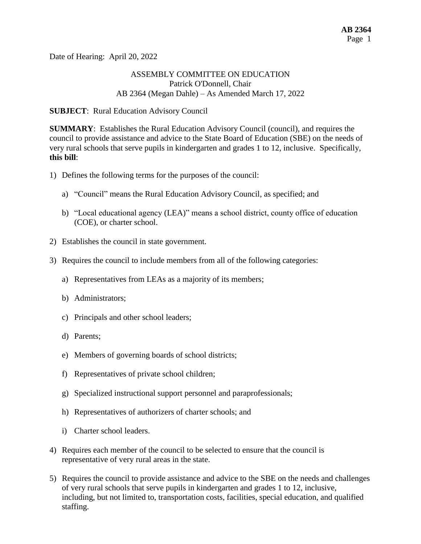Date of Hearing: April 20, 2022

## ASSEMBLY COMMITTEE ON EDUCATION Patrick O'Donnell, Chair AB 2364 (Megan Dahle) – As Amended March 17, 2022

#### **SUBJECT**: Rural Education Advisory Council

**SUMMARY**: Establishes the Rural Education Advisory Council (council), and requires the council to provide assistance and advice to the State Board of Education (SBE) on the needs of very rural schools that serve pupils in kindergarten and grades 1 to 12, inclusive. Specifically, **this bill**:

- 1) Defines the following terms for the purposes of the council:
	- a) "Council" means the Rural Education Advisory Council, as specified; and
	- b) "Local educational agency (LEA)" means a school district, county office of education (COE), or charter school.
- 2) Establishes the council in state government.
- 3) Requires the council to include members from all of the following categories:
	- a) Representatives from LEAs as a majority of its members;
	- b) Administrators;
	- c) Principals and other school leaders;
	- d) Parents;
	- e) Members of governing boards of school districts;
	- f) Representatives of private school children;
	- g) Specialized instructional support personnel and paraprofessionals;
	- h) Representatives of authorizers of charter schools; and
	- i) Charter school leaders.
- 4) Requires each member of the council to be selected to ensure that the council is representative of very rural areas in the state.
- 5) Requires the council to provide assistance and advice to the SBE on the needs and challenges of very rural schools that serve pupils in kindergarten and grades 1 to 12, inclusive, including, but not limited to, transportation costs, facilities, special education, and qualified staffing.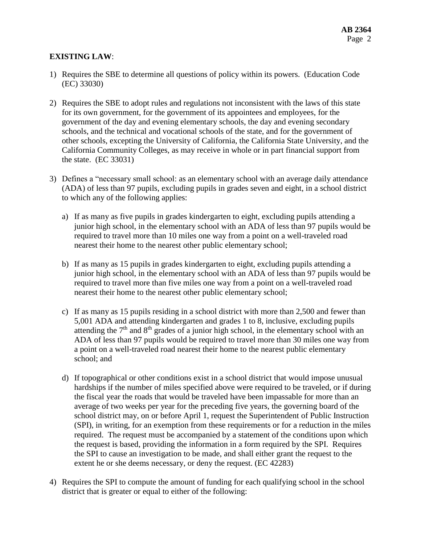## **EXISTING LAW**:

- 1) Requires the SBE to determine all questions of policy within its powers. (Education Code (EC) 33030)
- 2) Requires the SBE to adopt rules and regulations not inconsistent with the laws of this state for its own government, for the government of its appointees and employees, for the government of the day and evening elementary schools, the day and evening secondary schools, and the technical and vocational schools of the state, and for the government of other schools, excepting the University of California, the California State University, and the California Community Colleges, as may receive in whole or in part financial support from the state. (EC 33031)
- 3) Defines a "necessary small school: as an elementary school with an average daily attendance (ADA) of less than 97 pupils, excluding pupils in grades seven and eight, in a school district to which any of the following applies:
	- a) If as many as five pupils in grades kindergarten to eight, excluding pupils attending a junior high school, in the elementary school with an ADA of less than 97 pupils would be required to travel more than 10 miles one way from a point on a well-traveled road nearest their home to the nearest other public elementary school;
	- b) If as many as 15 pupils in grades kindergarten to eight, excluding pupils attending a junior high school, in the elementary school with an ADA of less than 97 pupils would be required to travel more than five miles one way from a point on a well-traveled road nearest their home to the nearest other public elementary school;
	- c) If as many as 15 pupils residing in a school district with more than 2,500 and fewer than 5,001 ADA and attending kindergarten and grades 1 to 8, inclusive, excluding pupils attending the  $7<sup>th</sup>$  and  $8<sup>th</sup>$  grades of a junior high school, in the elementary school with an ADA of less than 97 pupils would be required to travel more than 30 miles one way from a point on a well-traveled road nearest their home to the nearest public elementary school; and
	- d) If topographical or other conditions exist in a school district that would impose unusual hardships if the number of miles specified above were required to be traveled, or if during the fiscal year the roads that would be traveled have been impassable for more than an average of two weeks per year for the preceding five years, the governing board of the school district may, on or before April 1, request the Superintendent of Public Instruction (SPI), in writing, for an exemption from these requirements or for a reduction in the miles required. The request must be accompanied by a statement of the conditions upon which the request is based, providing the information in a form required by the SPI. Requires the SPI to cause an investigation to be made, and shall either grant the request to the extent he or she deems necessary, or deny the request. (EC 42283)
- 4) Requires the SPI to compute the amount of funding for each qualifying school in the school district that is greater or equal to either of the following: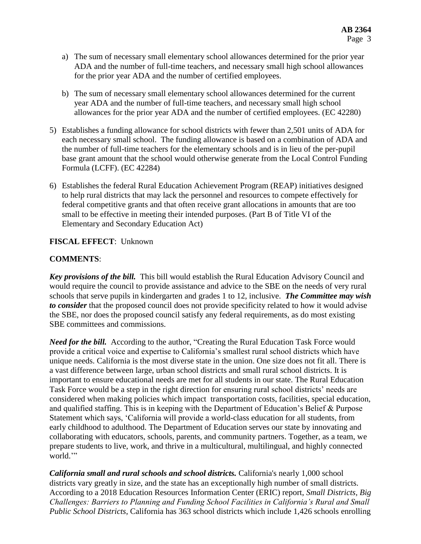- a) The sum of necessary small elementary school allowances determined for the prior year ADA and the number of full-time teachers, and necessary small high school allowances for the prior year ADA and the number of certified employees.
- b) The sum of necessary small elementary school allowances determined for the current year ADA and the number of full-time teachers, and necessary small high school allowances for the prior year ADA and the number of certified employees. (EC 42280)
- 5) Establishes a funding allowance for school districts with fewer than 2,501 units of ADA for each necessary small school. The funding allowance is based on a combination of ADA and the number of full-time teachers for the elementary schools and is in lieu of the per-pupil base grant amount that the school would otherwise generate from the Local Control Funding Formula (LCFF). (EC 42284)
- 6) Establishes the federal Rural Education Achievement Program (REAP) initiatives designed to help rural districts that may lack the personnel and resources to compete effectively for federal competitive grants and that often receive grant allocations in amounts that are too small to be effective in meeting their intended purposes. (Part B of Title VI of the Elementary and Secondary Education Act)

# **FISCAL EFFECT**: Unknown

# **COMMENTS**:

*Key provisions of the bill.* This bill would establish the Rural Education Advisory Council and would require the council to provide assistance and advice to the SBE on the needs of very rural schools that serve pupils in kindergarten and grades 1 to 12, inclusive. *The Committee may wish to consider* that the proposed council does not provide specificity related to how it would advise the SBE, nor does the proposed council satisfy any federal requirements, as do most existing SBE committees and commissions.

*Need for the bill.* According to the author, "Creating the Rural Education Task Force would provide a critical voice and expertise to California's smallest rural school districts which have unique needs. California is the most diverse state in the union. One size does not fit all. There is a vast difference between large, urban school districts and small rural school districts. It is important to ensure educational needs are met for all students in our state. The Rural Education Task Force would be a step in the right direction for ensuring rural school districts' needs are considered when making policies which impact transportation costs, facilities, special education, and qualified staffing. This is in keeping with the Department of Education's Belief & Purpose Statement which says, 'California will provide a world-class education for all students, from early childhood to adulthood. The Department of Education serves our state by innovating and collaborating with educators, schools, parents, and community partners. Together, as a team, we prepare students to live, work, and thrive in a multicultural, multilingual, and highly connected world."

*California small and rural schools and school districts.* California's nearly 1,000 school districts vary greatly in size, and the state has an exceptionally high number of small districts. According to a 2018 Education Resources Information Center (ERIC) report, *Small Districts, Big Challenges: Barriers to Planning and Funding School Facilities in California's Rural and Small Public School Districts*, California has 363 school districts which include 1,426 schools enrolling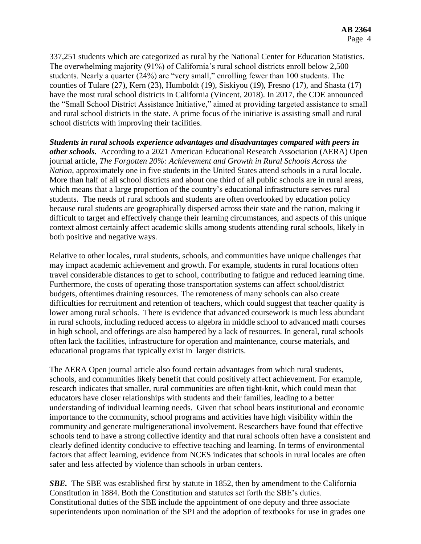337,251 students which are categorized as rural by the National Center for Education Statistics. The overwhelming majority (91%) of California's rural school districts enroll below 2,500 students. Nearly a quarter (24%) are "very small," enrolling fewer than 100 students. The counties of Tulare (27), Kern (23), Humboldt (19), Siskiyou (19), Fresno (17), and Shasta (17) have the most rural school districts in California (Vincent, 2018). In 2017, the CDE announced the "Small School District Assistance Initiative," aimed at providing targeted assistance to small and rural school districts in the state. A prime focus of the initiative is assisting small and rural school districts with improving their facilities.

*Students in rural schools experience advantages and disadvantages compared with peers in other schools.* According to a 2021 American Educational Research Association (AERA) Open journal article, *The Forgotten 20%: Achievement and Growth in Rural Schools Across the Nation*, approximately one in five students in the United States attend schools in a rural locale. More than half of all school districts and about one third of all public schools are in rural areas, which means that a large proportion of the country's educational infrastructure serves rural students. The needs of rural schools and students are often overlooked by education policy because rural students are geographically dispersed across their state and the nation, making it difficult to target and effectively change their learning circumstances, and aspects of this unique context almost certainly affect academic skills among students attending rural schools, likely in both positive and negative ways.

Relative to other locales, rural students, schools, and communities have unique challenges that may impact academic achievement and growth. For example, students in rural locations often travel considerable distances to get to school, contributing to fatigue and reduced learning time. Furthermore, the costs of operating those transportation systems can affect school/district budgets, oftentimes draining resources. The remoteness of many schools can also create difficulties for recruitment and retention of teachers, which could suggest that teacher quality is lower among rural schools. There is evidence that advanced coursework is much less abundant in rural schools, including reduced access to algebra in middle school to advanced math courses in high school, and offerings are also hampered by a lack of resources. In general, rural schools often lack the facilities, infrastructure for operation and maintenance, course materials, and educational programs that typically exist in larger districts.

The AERA Open journal article also found certain advantages from which rural students, schools, and communities likely benefit that could positively affect achievement. For example, research indicates that smaller, rural communities are often tight-knit, which could mean that educators have closer relationships with students and their families, leading to a better understanding of individual learning needs. Given that school bears institutional and economic importance to the community, school programs and activities have high visibility within the community and generate multigenerational involvement. Researchers have found that effective schools tend to have a strong collective identity and that rural schools often have a consistent and clearly defined identity conducive to effective teaching and learning. In terms of environmental factors that affect learning, evidence from NCES indicates that schools in rural locales are often safer and less affected by violence than schools in urban centers.

**SBE.** The SBE was established first by statute in 1852, then by amendment to the California Constitution in 1884. Both the Constitution and statutes set forth the SBE's duties. Constitutional duties of the SBE include the appointment of one deputy and three associate superintendents upon nomination of the SPI and the adoption of textbooks for use in grades one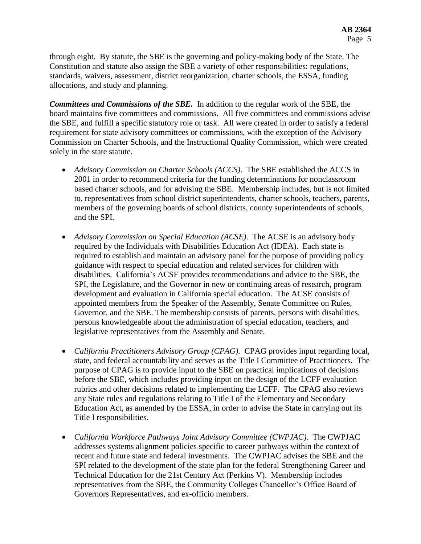through eight. By statute, the SBE is the governing and policy-making body of the State. The Constitution and statute also assign the SBE a variety of other responsibilities: regulations, standards, waivers, assessment, district reorganization, charter schools, the ESSA, funding allocations, and study and planning.

*Committees and Commissions of the SBE.* In addition to the regular work of the SBE, the board maintains five committees and commissions. All five committees and commissions advise the SBE, and fulfill a specific statutory role or task. All were created in order to satisfy a federal requirement for state advisory committees or commissions, with the exception of the Advisory Commission on Charter Schools, and the Instructional Quality Commission, which were created solely in the state statute.

- *Advisory Commission on Charter Schools (ACCS)*. The SBE established the ACCS in 2001 in order to recommend criteria for the funding determinations for nonclassroom based charter schools, and for advising the SBE. Membership includes, but is not limited to, representatives from school district superintendents, charter schools, teachers, parents, members of the governing boards of school districts, county superintendents of schools, and the SPI.
- *Advisory Commission on Special Education (ACSE)*. The ACSE is an advisory body required by the Individuals with Disabilities Education Act (IDEA). Each state is required to establish and maintain an advisory panel for the purpose of providing policy guidance with respect to special education and related services for children with disabilities. California's ACSE provides recommendations and advice to the SBE, the SPI, the Legislature, and the Governor in new or continuing areas of research, program development and evaluation in California special education. The ACSE consists of appointed members from the Speaker of the Assembly, Senate Committee on Rules, Governor, and the SBE. The membership consists of parents, persons with disabilities, persons knowledgeable about the administration of special education, teachers, and legislative representatives from the Assembly and Senate.
- *California Practitioners Advisory Group (CPAG)*. CPAG provides input regarding local, state, and federal accountability and serves as the Title I Committee of Practitioners. The purpose of CPAG is to provide input to the SBE on practical implications of decisions before the SBE, which includes providing input on the design of the LCFF evaluation rubrics and other decisions related to implementing the LCFF. The CPAG also reviews any State rules and regulations relating to Title I of the Elementary and Secondary Education Act, as amended by the ESSA, in order to advise the State in carrying out its Title I responsibilities.
- *California Workforce Pathways Joint Advisory Committee (CWPJAC)*. The CWPJAC addresses systems alignment policies specific to career pathways within the context of recent and future state and federal investments. The CWPJAC advises the SBE and the SPI related to the development of the state plan for the federal Strengthening Career and Technical Education for the 21st Century Act (Perkins V). Membership includes representatives from the SBE, the Community Colleges Chancellor's Office Board of Governors Representatives, and ex-officio members.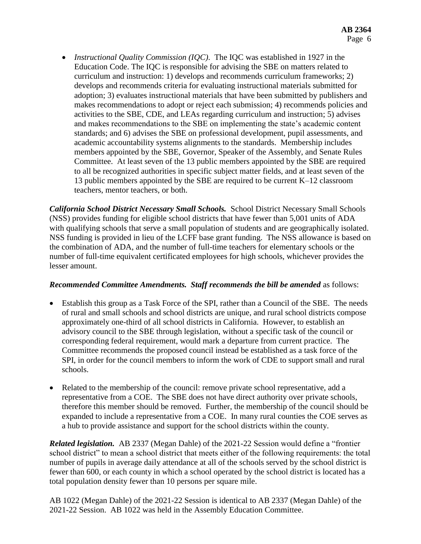*Instructional Quality Commission (IQC)*. The IQC was established in 1927 in the Education Code. The IQC is responsible for advising the SBE on matters related to curriculum and instruction: 1) develops and recommends curriculum frameworks; 2) develops and recommends criteria for evaluating instructional materials submitted for adoption; 3) evaluates instructional materials that have been submitted by publishers and makes recommendations to adopt or reject each submission; 4) recommends policies and activities to the SBE, CDE, and LEAs regarding curriculum and instruction; 5) advises and makes recommendations to the SBE on implementing the state's academic content standards; and 6) advises the SBE on professional development, pupil assessments, and academic accountability systems alignments to the standards. Membership includes members appointed by the SBE, Governor, Speaker of the Assembly, and Senate Rules Committee. At least seven of the 13 public members appointed by the SBE are required to all be recognized authorities in specific subject matter fields, and at least seven of the 13 public members appointed by the SBE are required to be current K–12 classroom teachers, mentor teachers, or both.

*California School District Necessary Small Schools.* School District Necessary Small Schools (NSS) provides funding for eligible school districts that have fewer than 5,001 units of ADA with qualifying schools that serve a small population of students and are geographically isolated. NSS funding is provided in lieu of the LCFF base grant funding. The NSS allowance is based on the combination of ADA, and the number of full-time teachers for elementary schools or the number of full-time equivalent certificated employees for high schools, whichever provides the lesser amount.

#### *Recommended Committee Amendments. Staff recommends the bill be amended* as follows:

- Establish this group as a Task Force of the SPI, rather than a Council of the SBE. The needs of rural and small schools and school districts are unique, and rural school districts compose approximately one-third of all school districts in California. However, to establish an advisory council to the SBE through legislation, without a specific task of the council or corresponding federal requirement, would mark a departure from current practice. The Committee recommends the proposed council instead be established as a task force of the SPI, in order for the council members to inform the work of CDE to support small and rural schools.
- Related to the membership of the council: remove private school representative, add a representative from a COE. The SBE does not have direct authority over private schools, therefore this member should be removed. Further, the membership of the council should be expanded to include a representative from a COE. In many rural counties the COE serves as a hub to provide assistance and support for the school districts within the county.

*Related legislation.* AB 2337 (Megan Dahle) of the 2021-22 Session would define a "frontier school district" to mean a school district that meets either of the following requirements: the total number of pupils in average daily attendance at all of the schools served by the school district is fewer than 600, or each county in which a school operated by the school district is located has a total population density fewer than 10 persons per square mile.

AB 1022 (Megan Dahle) of the 2021-22 Session is identical to AB 2337 (Megan Dahle) of the 2021-22 Session. AB 1022 was held in the Assembly Education Committee.